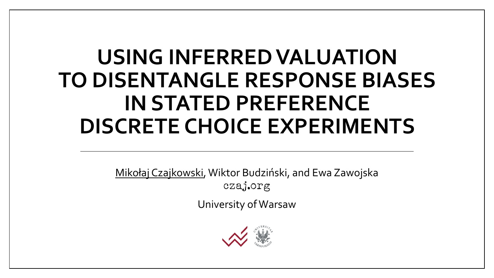### **USING INFERRED VALUATION TO DISENTANGLE RESPONSE BIASES IN STATED PREFERENCE DISCRETE CHOICE EXPERIMENTS**

Mikołaj Czajkowski, Wiktor Budziński, and Ewa Zawojska czaj.org

University of Warsaw

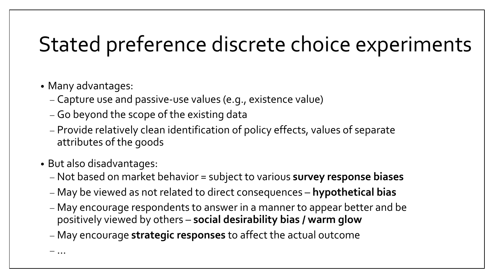### Stated preference discrete choice experiments

- Many advantages:
	- − Capture use and passive-use values (e.g., existence value)
	- − Go beyond the scope of the existing data
	- − Provide relatively clean identification of policy effects, values of separate attributes of the goods
- But also disadvantages:
	- − Not based on market behavior = subject to various **survey response biases**
	- − May be viewed as not related to direct consequences **hypothetical bias**
	- − May encourage respondents to answer in a manner to appear better and be positively viewed by others – **social desirability bias / warm glow**
	- − May encourage **strategic responses** to affect the actual outcome

− …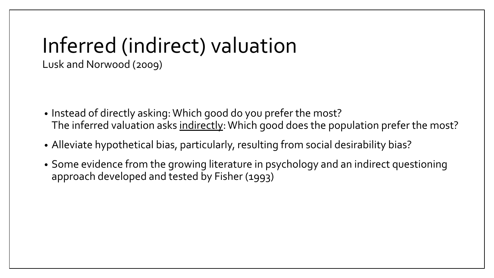# Inferred (indirect) valuation

Lusk and Norwood (2009)

- Instead of directly asking: Which good do you prefer the most? The inferred valuation asks indirectly: Which good does the population prefer the most?
- Alleviate hypothetical bias, particularly, resulting from social desirability bias?
- Some evidence from the growing literature in psychology and an indirect questioning approach developed and tested by Fisher (1993)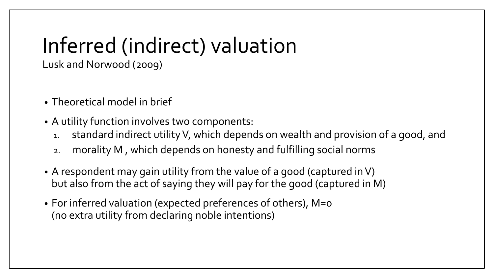# Inferred (indirect) valuation

Lusk and Norwood (2009)

- Theoretical model in brief
- A utility function involves two components:
	- 1. standard indirect utility V, which depends on wealth and provision of a good, and
	- 2. morality M , which depends on honesty and fulfilling social norms
- A respondent may gain utility from the value of a good (captured in V) but also from the act of saying they will pay for the good (captured in M)
- For inferred valuation (expected preferences of others), M=0 (no extra utility from declaring noble intentions)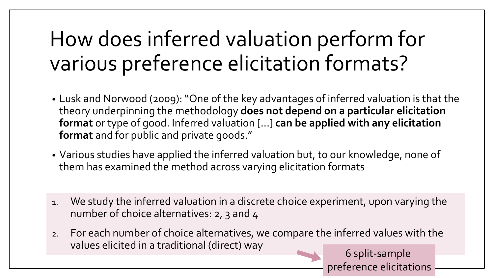## How does inferred valuation perform for various preference elicitation formats?

- Lusk and Norwood (2009): "One of the key advantages of inferred valuation is that the theory underpinning the methodology **does not depend on a particular elicitation format** or type of good. Inferred valuation [...] **can be applied with any elicitation format** and for public and private goods."
- Various studies have applied the inferred valuation but, to our knowledge, none of them has examined the method across varying elicitation formats
- 1. We study the inferred valuation in a discrete choice experiment, upon varying the number of choice alternatives: 2, 3 and 4
- 2. For each number of choice alternatives, we compare the inferred values with the values elicited in a traditional (direct) way 6 split-sample

preference elicitations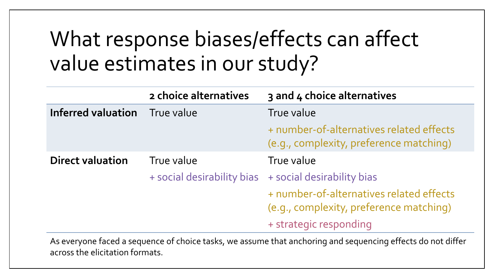### What response biases/effects can affect value estimates in our study?

|                         | 2 choice alternatives      | 3 and 4 choice alternatives                                                         |
|-------------------------|----------------------------|-------------------------------------------------------------------------------------|
| Inferred valuation      | True value                 | True value                                                                          |
|                         |                            | + number-of-alternatives related effects<br>(e.g., complexity, preference matching) |
| <b>Direct valuation</b> | True value                 | True value                                                                          |
|                         | + social desirability bias | + social desirability bias                                                          |
|                         |                            | + number-of-alternatives related effects<br>(e.g., complexity, preference matching) |
|                         |                            | + strategic responding                                                              |

As everyone faced a sequence of choice tasks, we assume that anchoring and sequencing effects do not differ across the elicitation formats.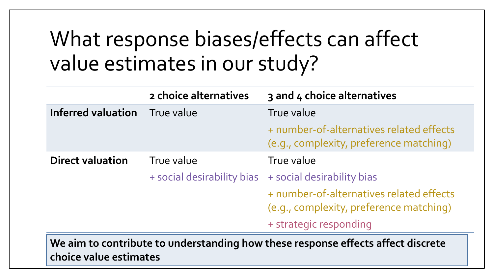### What response biases/effects can affect value estimates in our study?

|                           | 2 choice alternatives      | 3 and 4 choice alternatives                                                         |
|---------------------------|----------------------------|-------------------------------------------------------------------------------------|
| <b>Inferred valuation</b> | True value                 | True value                                                                          |
|                           |                            | + number-of-alternatives related effects<br>(e.g., complexity, preference matching) |
| <b>Direct valuation</b>   | True value                 | True value                                                                          |
|                           | + social desirability bias | + social desirability bias                                                          |
|                           |                            | + number-of-alternatives related effects<br>(e.g., complexity, preference matching) |
|                           |                            | + strategic responding                                                              |
|                           |                            | rr -<br>rr.<br>.<br>.                                                               |

**We aim to contribute to understanding how these response effects affect discrete choice value estimates**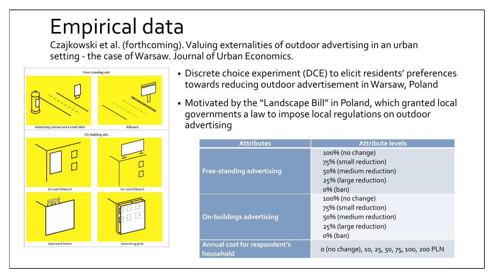### Empirical data

Czajkowski et al. (forthcoming). Valuing externalities of outdoor advertising in an urban setting - the case of Warsaw. Journal of Urban Economics.



- Discrete choice experiment (DCE) to elicit residents' preferences towards reducing outdoor advertisement in Warsaw, Poland
- Motivated by the "Landscape Bill" in Poland, which granted local governments a law to impose local regulations on outdoor advertising

| <b>Attributes</b>                         | <b>Attribute levels</b>                                                                                     |
|-------------------------------------------|-------------------------------------------------------------------------------------------------------------|
| <b>Free-standing advertising</b>          | 100% (no change)<br>75% (small reduction)<br>50% (medium reduction)<br>25% (large reduction)<br>$0\%$ (ban) |
| <b>On-buildings advertising</b>           | 100% (no change)<br>75% (small reduction)<br>50% (medium reduction)<br>25% (large reduction)<br>$0\%$ (ban) |
| Annual cost for respondent's<br>household | o (no change), 10, 25, 50, 75, 100, 200 PLN                                                                 |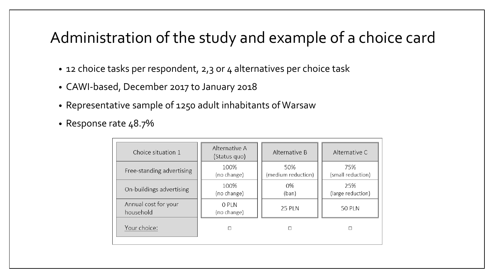#### Administration of the study and example of a choice card

- 12 choice tasks per respondent, 2,3 or 4 alternatives per choice task
- CAWI-based, December 2017 to January 2018
- Representative sample of 1250 adult inhabitants of Warsaw
- Response rate 48.7%

| Choice situation 1                | Alternative A<br>(Status quo) | Alternative B             | Alternative C            |  |
|-----------------------------------|-------------------------------|---------------------------|--------------------------|--|
| Free-standing advertising         | 100%<br>(no change)           | 50%<br>(medium reduction) | 75%<br>(small reduction) |  |
| On-buildings advertising          | 100%<br>(no change)           | 0%<br>(ban)               | 25%<br>(large reduction) |  |
| Annual cost for your<br>household | 0 PLN<br>(no change)          | <b>25 PLN</b>             | <b>50 PLN</b>            |  |
| Your choice:                      | □                             | п                         | п                        |  |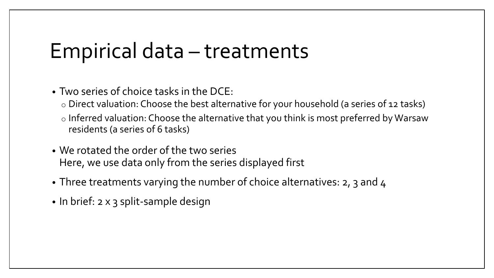#### Empirical data – treatments

• Two series of choice tasks in the DCE:

- o Direct valuation: Choose the best alternative for your household (a series of 12 tasks)
- o Inferred valuation: Choose the alternative that you think is most preferred by Warsaw residents (a series of 6 tasks)
- We rotated the order of the two series Here, we use data only from the series displayed first
- Three treatments varying the number of choice alternatives: 2, 3 and 4
- In brief: 2 x 3 split-sample design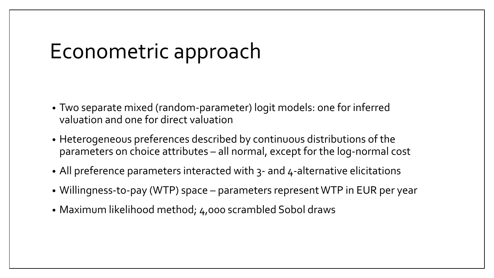#### Econometric approach

- Two separate mixed (random-parameter) logit models: one for inferred valuation and one for direct valuation
- Heterogeneous preferences described by continuous distributions of the parameters on choice attributes – all normal, except for the log-normal cost
- All preference parameters interacted with 3- and 4-alternative elicitations
- Willingness-to-pay (WTP) space parameters represent WTP in EUR per year
- Maximum likelihood method; 4,000 scrambled Sobol draws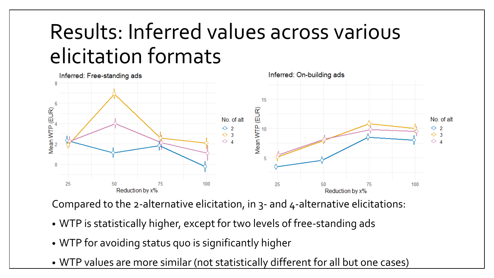### Results: Inferred values across various elicitation formats



Compared to the 2-alternative elicitation, in 3- and 4-alternative elicitations:

- WTP is statistically higher, except for two levels of free-standing ads
- WTP for avoiding status quo is significantly higher
- WTP values are more similar (not statistically different for all but one cases)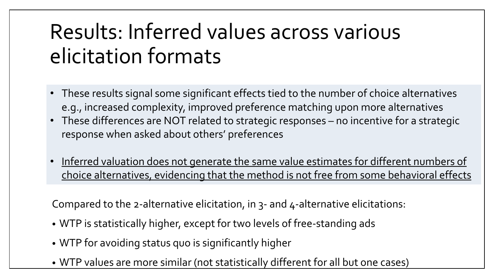### Results: Inferred values across various elicitation formats

- These results signal some significant effects tied to the number of choice alternatives e.g., increased complexity, improved preference matching upon more alternatives
- These differences are NOT related to strategic responses no incentive for a strategic response when asked about others' preferences
- Inferred valuation does not generate the same value estimates for different numbers of choice alternatives, evidencing that the method is not free from some behavioral effects

Compared to the 2-alternative elicitation, in 3- and 4-alternative elicitations:

- WTP is statistically higher, except for two levels of free-standing ads
- WTP for avoiding status quo is significantly higher
- WTP values are more similar (not statistically different for all but one cases)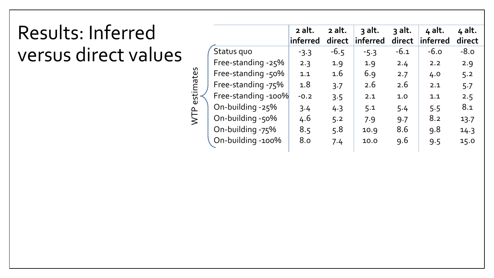#### Results: Inferred versus direct values

|                     | 2 alt.<br>inferred | 2 alt.<br>direct | $3$ alt.<br>inferred | 3 alt.<br>direct | 4 alt.<br>inferred | 4 alt.<br>direct |
|---------------------|--------------------|------------------|----------------------|------------------|--------------------|------------------|
| Status quo          | $-3.3$             | $-6.5$           | $-5.3$               | $-6.1$           | $-6.0$             | $-8.0$           |
| Free-standing -25%  | 2.3                | 1.9              | 1.9                  | 2.4              | 2.2                | 2.9              |
| Free-standing -50%  | 1.1                | 1.6              | 6.9                  | 2.7              | 4.0                | 5.2              |
| Free-standing -75%  | 1.8                | 3.7              | 2.6                  | 2.6              | 2.1                | 5.7              |
| Free-standing -100% | $-0.2$             | 3.5              | 2.1                  | 1.0              | 1.1                | 2.5              |
| On-building -25%    | 3.4                | 4.3              | 5.1                  | 5.4              | 5.5                | 8.1              |
| On-building -50%    | 4.6                | 5.2              | 7.9                  | 9.7              | 8.2                | 13.7             |
| On-building -75%    | 8.5                | 5.8              | 10.9                 | 8.6              | 9.8                | 14.3             |
| On-building -100%   | 8.0                | 7.4              | 10.0                 | 9.6              | 9.5                | 15.0             |
|                     |                    |                  |                      |                  |                    |                  |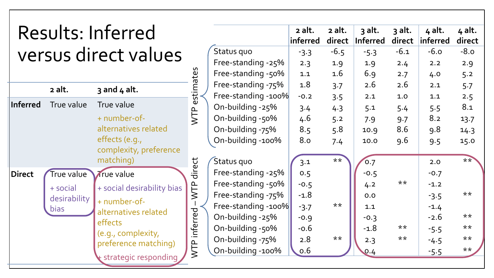|                        |              | Results: Inferred          |                    |                     | 2 alt.<br>inferred | 2 alt.<br>direct | 3 alt.<br><b>Inferred</b> | 3 alt.<br>direct | 4 alt.<br>inferred | 4 alt.<br>direct |
|------------------------|--------------|----------------------------|--------------------|---------------------|--------------------|------------------|---------------------------|------------------|--------------------|------------------|
| versus direct values   |              |                            | Status quo         | $-3.3$              | $-6.5$             | $-5.3$           | $-6.1$                    | $-6.0$           | $-8.0$             |                  |
|                        |              |                            | Free-standing -25% | 2.3                 | 1.9                | 1.9              | 2.4                       | 2.2              | 2.9                |                  |
|                        |              |                            |                    | Free-standing -50%  | 1.1                | 1.6              | 6.9                       | 2.7              | 4.0                | 5.2              |
|                        | 2 alt.       | $3$ and $4$ alt.           | estimates          | Free-standing -75%  | 1.8                | 3.7              | 2.6                       | 2.6              | 2.1                | 5.7              |
|                        |              |                            |                    | Free-standing -100% | $-0.2$             | 3.5              | 2.1                       | 1.0              | 1.1                | 2.5              |
| Inferred               | True value   | True value                 |                    | On-building -25%    | 3.4                | 4.3              | 5.1                       | 5.4              | 5.5                | 8.1              |
|                        |              | + number-of-               | WTP                | On-building -50%    | 4.6                | 5.2              | 7.9                       | 9.7              | 8.2                | 13.7             |
|                        |              | alternatives related       |                    | On-building -75%    | 8.5                | 5.8              | 10.9                      | 8.6              | 9.8                | 14.3             |
|                        |              | effects (e.g.,             |                    | On-building -100%   | 8.0                | 7.4              | 10.0                      | 9.6              | 9.5                | 15.0             |
| complexity, preference |              |                            |                    |                     |                    |                  |                           |                  |                    |                  |
|                        |              | matching)                  |                    | Status quo          | 3.1                | $**$             | 0.7                       |                  | 2.0                | $**$             |
| Direct                 | True value   | True value                 | direct             | Free-standing -25%  | 0.5                |                  | $-0.5$                    |                  | $-0.7$             |                  |
|                        | + social     | + social desirability bias | WTP                | Free-standing -50%  | $-0.5$             |                  | 4.2                       | $***$            | $-1.2$             |                  |
|                        | desirability | + number-of-               |                    | Free-standing -75%  | $-1.8$             |                  | 0.0                       |                  | $-3.5$             | $***$            |
|                        | bias         | alternatives related       |                    | Free-standing -100% | $-3.7$             | $***$            | 1.1                       |                  | $-1.4$             |                  |
|                        |              | effects                    |                    | On-building -25%    | $-0.9$             |                  | $-0.3$                    |                  | $-2.6$             | $***$            |
|                        |              | (e.g., complexity,         | inferred           | On-building -50%    | $-0.6$             |                  | $-1.8$                    | $***$            | $-5.5$             | $***$            |
|                        |              | preference matching)       |                    | On-building -75%    | 2.8                | $***$            | 2.3                       | $***$            | $-4.5$             | $***$            |
|                        |              |                            | WTP                | On-building -100%   | 0.6                |                  | 0.4                       |                  | $-5.5$             | $***$            |
|                        |              | strategic responding       |                    |                     |                    |                  |                           |                  |                    |                  |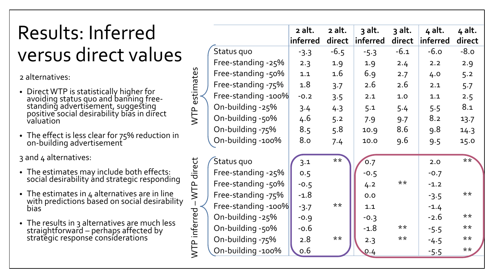### Results: Inferred versus direct values

2 alternatives:

• Direct WTP is statistically higher for avoiding status quo and banning free-<br>standing advertisement, suggesting positive social desirability bias in direct valuation

WTP estimates

WTP

estimate

WTP inferred

WTP inferred

–WTP direct

 $W\Gamma$ 

P direct

• The effect is less clear for 75% reduction in on-building advertisement

3 and 4 alternatives:

- The estimates may include both effects: social desirability ánd strategic responding
- The estimates in 4 alternatives are in line with predictions based on social desirability bias
- The results in 3 alternatives are much less straightforward – perhaps affected by<br>strategic response considerations

|                     | 2 alt.<br>inferred | 2 alt.<br>direct | 3 alt.<br>inferred | 3 alt.<br>direct | 4 alt.<br>inferred | 4 alt.<br>direct |
|---------------------|--------------------|------------------|--------------------|------------------|--------------------|------------------|
| Status quo          | $-3.3$             | $-6.5$           | $-5.3$             | $-6.1$           | $-6.0$             | $-8.0$           |
| Free-standing -25%  | 2.3                | 1.9              | 1.9                | 2.4              | 2.2                | 2.9              |
| Free-standing -50%  | 1.1                | 1.6              | 6.9                | 2.7              | 4.0                | 5.2              |
| Free-standing -75%  | 1.8                | 3.7              | 2.6                | 2.6              | 2.1                | 5.7              |
| Free-standing -100% | $-0.2$             | 3.5              | 2.1                | 1.0              | 1.1                | 2.5              |
| On-building -25%    | 3.4                | 4.3              | 5.1                | 5.4              | 5.5                | 8.1              |
| On-building -50%    | 4.6                | 5.2              | 7.9                | 9.7              | 8.2                | 13.7             |
| On-building -75%    | 8.5                | 5.8              | 10.9               | 8.6              | 9.8                | 14.3             |
| On-building -100%   | 8.0                | 7.4              | 10.0               | 9.6              | 9.5                | 15.0             |
| Status quo          | 3.1                | $***$            | 0.7                |                  | 2.0                | $**$             |
| Free-standing -25%  | 0.5                |                  | $-0.5$             |                  | $-0.7$             |                  |
| Free-standing -50%  | $-0.5$             |                  | 4.2                | **               | $-1.2$             |                  |
| Free-standing -75%  | $-1.8$             |                  | 0.0                |                  | $-3.5$             | $***$            |
| Free-standing -100% | $-3.7$             | $***$            | 1.1                |                  | $-1.4$             |                  |
| On-building -25%    | $-0.9$             |                  | $-0.3$             |                  | $-2.6$             | $***$            |
| On-building -50%    | $-0.6$             |                  | $-1.8$             | $***$            | $-5.5$             | $***$            |
| On-building -75%    | 2.8                | $***$            | 2.3                | $***$            | $-4.5$             | $***$            |
| On-building -100%   | 0.6                |                  | 0.4                |                  | $-5.5$             | $***$            |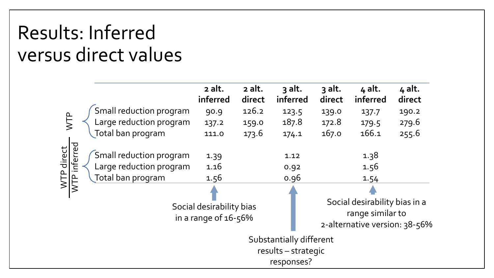#### Results: Inferred versus direct values

|                                                 |                                                    | 2 alt.<br>inferred                                   | 2 alt.<br>direct | 3 alt.<br>inferred   | $3$ alt.<br>direct | 4 alt.<br>inferred                                                                 | 4 alt.<br>direct |
|-------------------------------------------------|----------------------------------------------------|------------------------------------------------------|------------------|----------------------|--------------------|------------------------------------------------------------------------------------|------------------|
|                                                 | Small reduction program                            | 90.9                                                 | 126.2            | 123.5                | 139.0              | 137.7                                                                              | 190.2            |
| WTP                                             | Large reduction program                            | 137.2                                                | 159.0            | 187.8                | 172.8              | 179.5                                                                              | 279.6            |
| Total ban program                               |                                                    | 111.0                                                | 173.6            | 174.1                | 167.0              | 166.1                                                                              | 255.6            |
| WTP direct<br>WTP inferred<br>Total ban program | Small reduction program<br>Large reduction program | 1.39<br>1.16<br>1.56                                 |                  | 1.12<br>0.92<br>0.96 |                    | 1.38<br>1.56<br>1.54                                                               |                  |
|                                                 |                                                    | Social desirability bias<br>in a range of $16 - 56%$ |                  |                      |                    | Social desirability bias in a<br>range similar to<br>2-alternative version: 38-56% |                  |
|                                                 | Substantially different<br>results - strategic     |                                                      |                  |                      |                    |                                                                                    |                  |
|                                                 | responses?                                         |                                                      |                  |                      |                    |                                                                                    |                  |